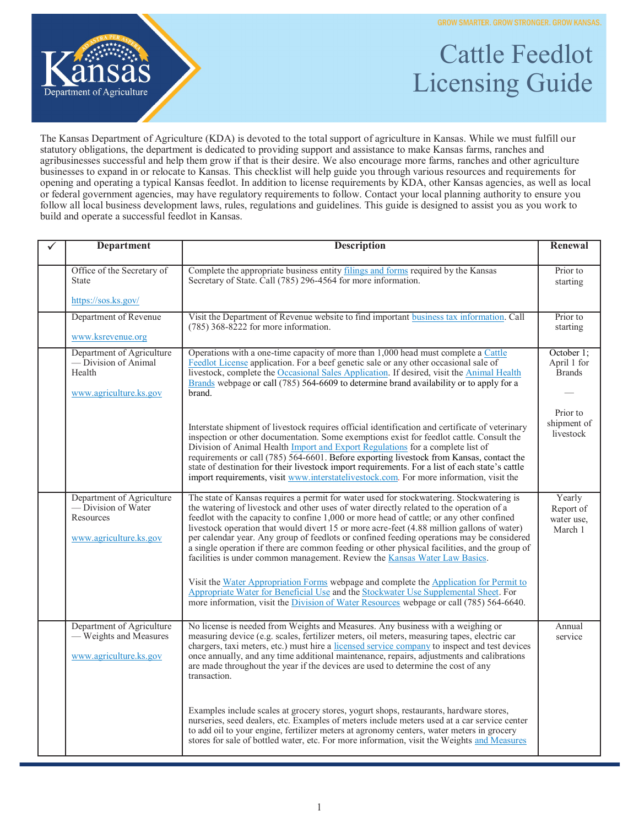**GROW SMARTER. GROW STRONGER. GROW KANSAS.** 



## Cattle Feedlot Licensing Guide

The Kansas Department of Agriculture (KDA) is devoted to the total support of agriculture in Kansas. While we must fulfill our statutory obligations, the department is dedicated to providing support and assistance to make Kansas farms, ranches and agribusinesses successful and help them grow if that is their desire. We also encourage more farms, ranches and other agriculture businesses to expand in or relocate to Kansas. This checklist will help guide you through various resources and requirements for opening and operating a typical Kansas feedlot. In addition to license requirements by KDA, other Kansas agencies, as well as local or federal government agencies, may have regulatory requirements to follow. Contact your local planning authority to ensure you follow all local business development laws, rules, regulations and guidelines. This guide is designed to assist you as you work to build and operate a successful feedlot in Kansas.

| <b>Department</b>                                                                      | <b>Description</b>                                                                                                                                                                                                                                                                                                                                                                                                                                                                                                                                                                                                                                                                                                                                   | Renewal                                      |
|----------------------------------------------------------------------------------------|------------------------------------------------------------------------------------------------------------------------------------------------------------------------------------------------------------------------------------------------------------------------------------------------------------------------------------------------------------------------------------------------------------------------------------------------------------------------------------------------------------------------------------------------------------------------------------------------------------------------------------------------------------------------------------------------------------------------------------------------------|----------------------------------------------|
| Office of the Secretary of<br><b>State</b><br>https://sos.ks.gov/                      | Complete the appropriate business entity filings and forms required by the Kansas<br>Secretary of State. Call (785) 296-4564 for more information.                                                                                                                                                                                                                                                                                                                                                                                                                                                                                                                                                                                                   | Prior to<br>starting                         |
| Department of Revenue<br>www.ksrevenue.org                                             | Visit the Department of Revenue website to find important business tax information. Call<br>$(785)$ 368-8222 for more information.                                                                                                                                                                                                                                                                                                                                                                                                                                                                                                                                                                                                                   | Prior to<br>starting                         |
| Department of Agriculture<br>— Division of Animal<br>Health<br>www.agriculture.ks.gov  | Operations with a one-time capacity of more than 1,000 head must complete a Cattle<br>Feedlot License application. For a beef genetic sale or any other occasional sale of<br>livestock, complete the Occasional Sales Application. If desired, visit the Animal Health<br>Brands webpage or call (785) 564-6609 to determine brand availability or to apply for a<br>brand.                                                                                                                                                                                                                                                                                                                                                                         | October 1;<br>April 1 for<br><b>Brands</b>   |
|                                                                                        | Interstate shipment of livestock requires official identification and certificate of veterinary<br>inspection or other documentation. Some exemptions exist for feedlot cattle. Consult the<br>Division of Animal Health Import and Export Regulations for a complete list of<br>requirements or call (785) 564-6601. Before exporting livestock from Kansas, contact the<br>state of destination for their livestock import requirements. For a list of each state's cattle<br>import requirements, visit www.interstatelivestock.com. For more information, visit the                                                                                                                                                                              | Prior to<br>shipment of<br>livestock         |
| Department of Agriculture<br>-Division of Water<br>Resources<br>www.agriculture.ks.gov | The state of Kansas requires a permit for water used for stockwatering. Stockwatering is<br>the watering of livestock and other uses of water directly related to the operation of a<br>feedlot with the capacity to confine 1,000 or more head of cattle; or any other confined<br>livestock operation that would divert 15 or more acre-feet (4.88 million gallons of water)<br>per calendar year. Any group of feedlots or confined feeding operations may be considered<br>a single operation if there are common feeding or other physical facilities, and the group of<br>facilities is under common management. Review the Kansas Water Law Basics.<br>Visit the Water Appropriation Forms webpage and complete the Application for Permit to | Yearly<br>Report of<br>water use,<br>March 1 |
|                                                                                        | Appropriate Water for Beneficial Use and the Stockwater Use Supplemental Sheet. For<br>more information, visit the Division of Water Resources webpage or call (785) 564-6640.                                                                                                                                                                                                                                                                                                                                                                                                                                                                                                                                                                       |                                              |
| Department of Agriculture<br>— Weights and Measures<br>www.agriculture.ks.gov          | No license is needed from Weights and Measures. Any business with a weighing or<br>measuring device (e.g. scales, fertilizer meters, oil meters, measuring tapes, electric car<br>chargers, taxi meters, etc.) must hire a licensed service company to inspect and test devices<br>once annually, and any time additional maintenance, repairs, adjustments and calibrations<br>are made throughout the year if the devices are used to determine the cost of any<br>transaction.                                                                                                                                                                                                                                                                    | Annual<br>service                            |
|                                                                                        | Examples include scales at grocery stores, yogurt shops, restaurants, hardware stores,<br>nurseries, seed dealers, etc. Examples of meters include meters used at a car service center<br>to add oil to your engine, fertilizer meters at agronomy centers, water meters in grocery<br>stores for sale of bottled water, etc. For more information, visit the Weights and Measures                                                                                                                                                                                                                                                                                                                                                                   |                                              |